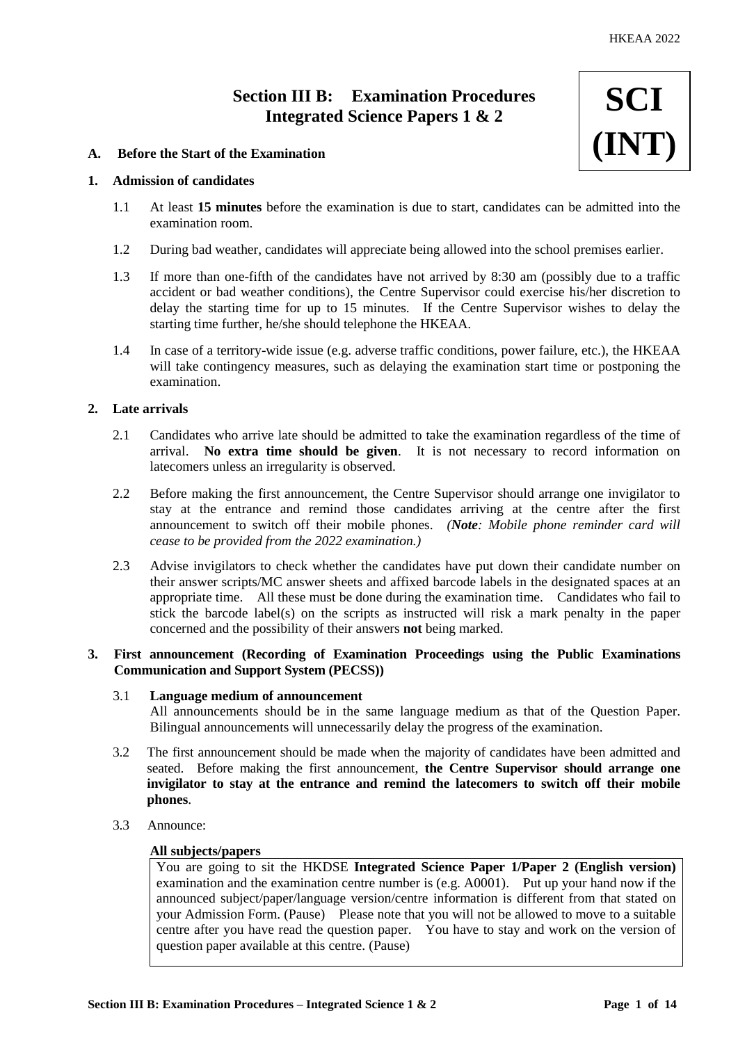**SCI**

**(INT)**

# **Section III B: Examination Procedures Integrated Science Papers 1 & 2**

# **A. Before the Start of the Examination**

# **1. Admission of candidates**

- 1.1 At least **15 minutes** before the examination is due to start, candidates can be admitted into the examination room.
- 1.2 During bad weather, candidates will appreciate being allowed into the school premises earlier.
- 1.3 If more than one-fifth of the candidates have not arrived by 8:30 am (possibly due to a traffic accident or bad weather conditions), the Centre Supervisor could exercise his/her discretion to delay the starting time for up to 15 minutes. If the Centre Supervisor wishes to delay the starting time further, he/she should telephone the HKEAA.
- 1.4 In case of a territory-wide issue (e.g. adverse traffic conditions, power failure, etc.), the HKEAA will take contingency measures, such as delaying the examination start time or postponing the examination.

# **2. Late arrivals**

- 2.1 Candidates who arrive late should be admitted to take the examination regardless of the time of arrival. **No extra time should be given**. It is not necessary to record information on latecomers unless an irregularity is observed.
- 2.2 Before making the first announcement, the Centre Supervisor should arrange one invigilator to stay at the entrance and remind those candidates arriving at the centre after the first announcement to switch off their mobile phones. *(Note: Mobile phone reminder card will cease to be provided from the 2022 examination.)*
- 2.3 Advise invigilators to check whether the candidates have put down their candidate number on their answer scripts/MC answer sheets and affixed barcode labels in the designated spaces at an appropriate time. All these must be done during the examination time. Candidates who fail to stick the barcode label(s) on the scripts as instructed will risk a mark penalty in the paper concerned and the possibility of their answers **not** being marked.

# **3. First announcement (Recording of Examination Proceedings using the Public Examinations Communication and Support System (PECSS))**

#### 3.1 **Language medium of announcement**

All announcements should be in the same language medium as that of the Question Paper. Bilingual announcements will unnecessarily delay the progress of the examination.

- 3.2 The first announcement should be made when the majority of candidates have been admitted and seated. Before making the first announcement, **the Centre Supervisor should arrange one invigilator to stay at the entrance and remind the latecomers to switch off their mobile phones**.
- 3.3 Announce:

# **All subjects/papers**

You are going to sit the HKDSE **Integrated Science Paper 1/Paper 2 (English version)** examination and the examination centre number is (e.g. A0001). Put up your hand now if the announced subject/paper/language version/centre information is different from that stated on your Admission Form. (Pause) Please note that you will not be allowed to move to a suitable centre after you have read the question paper. You have to stay and work on the version of question paper available at this centre. (Pause)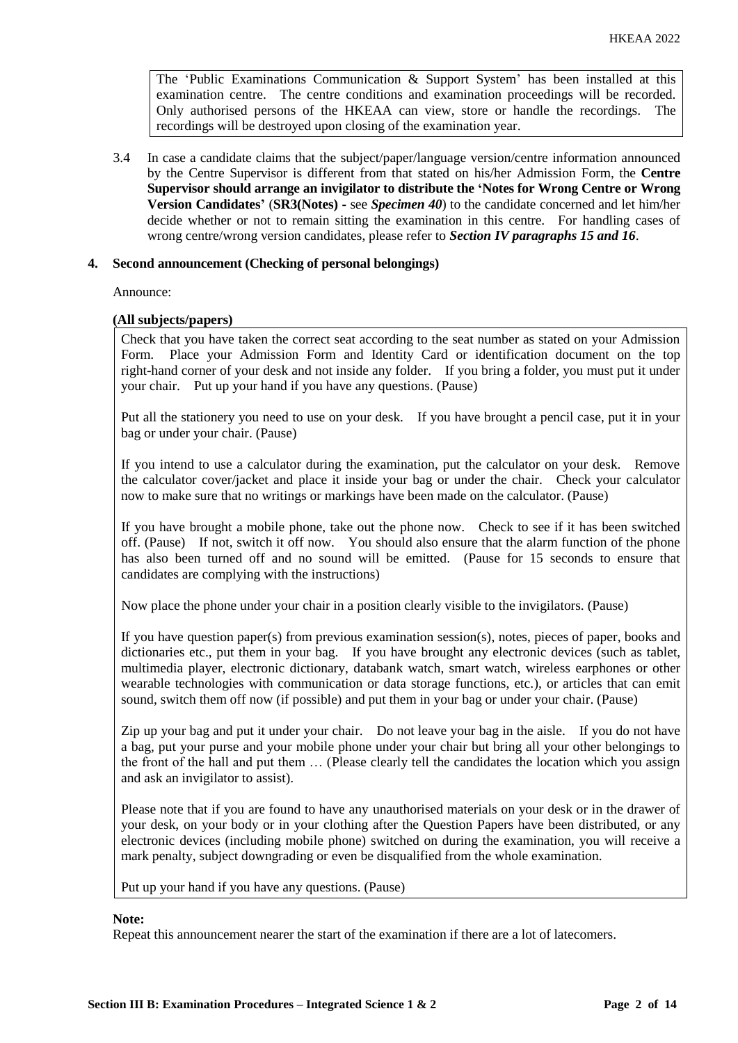The 'Public Examinations Communication  $\&$  Support System' has been installed at this examination centre. The centre conditions and examination proceedings will be recorded. Only authorised persons of the HKEAA can view, store or handle the recordings. The recordings will be destroyed upon closing of the examination year.

3.4 In case a candidate claims that the subject/paper/language version/centre information announced by the Centre Supervisor is different from that stated on his/her Admission Form, the **Centre Supervisor should arrange an invigilator to distribute the 'Notes for Wrong Centre or Wrong Version Candidates'** (**SR3(Notes) -** see *Specimen 40*) to the candidate concerned and let him/her decide whether or not to remain sitting the examination in this centre. For handling cases of wrong centre/wrong version candidates, please refer to *Section IV paragraphs 15 and 16*.

# **4. Second announcement (Checking of personal belongings)**

Announce:

# **(All subjects/papers)**

Check that you have taken the correct seat according to the seat number as stated on your Admission Form. Place your Admission Form and Identity Card or identification document on the top right-hand corner of your desk and not inside any folder. If you bring a folder, you must put it under your chair. Put up your hand if you have any questions. (Pause)

Put all the stationery you need to use on your desk. If you have brought a pencil case, put it in your bag or under your chair. (Pause)

If you intend to use a calculator during the examination, put the calculator on your desk. Remove the calculator cover/jacket and place it inside your bag or under the chair. Check your calculator now to make sure that no writings or markings have been made on the calculator. (Pause)

If you have brought a mobile phone, take out the phone now. Check to see if it has been switched off. (Pause) If not, switch it off now. You should also ensure that the alarm function of the phone has also been turned off and no sound will be emitted. (Pause for 15 seconds to ensure that candidates are complying with the instructions)

Now place the phone under your chair in a position clearly visible to the invigilators. (Pause)

If you have question paper(s) from previous examination session(s), notes, pieces of paper, books and dictionaries etc., put them in your bag. If you have brought any electronic devices (such as tablet, multimedia player, electronic dictionary, databank watch, smart watch, wireless earphones or other wearable technologies with communication or data storage functions, etc.), or articles that can emit sound, switch them off now (if possible) and put them in your bag or under your chair. (Pause)

Zip up your bag and put it under your chair. Do not leave your bag in the aisle. If you do not have a bag, put your purse and your mobile phone under your chair but bring all your other belongings to the front of the hall and put them … (Please clearly tell the candidates the location which you assign and ask an invigilator to assist).

Please note that if you are found to have any unauthorised materials on your desk or in the drawer of your desk, on your body or in your clothing after the Question Papers have been distributed, or any electronic devices (including mobile phone) switched on during the examination, you will receive a mark penalty, subject downgrading or even be disqualified from the whole examination.

Put up your hand if you have any questions. (Pause)

#### **Note:**

Repeat this announcement nearer the start of the examination if there are a lot of latecomers.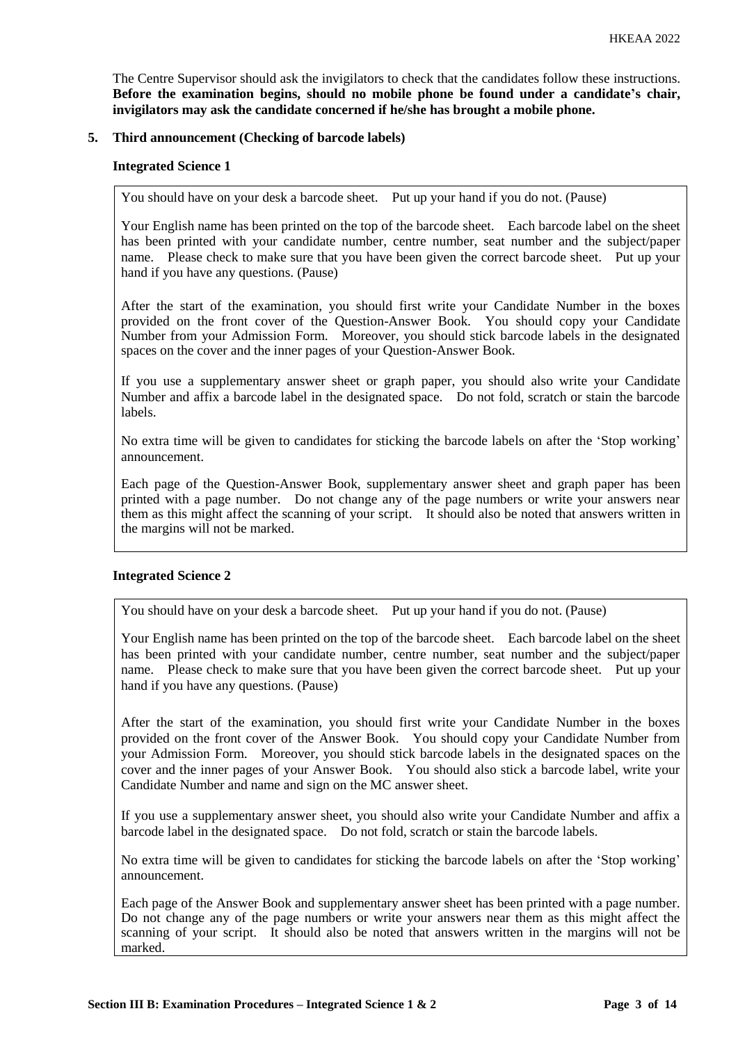The Centre Supervisor should ask the invigilators to check that the candidates follow these instructions. **Before the examination begins, should no mobile phone be found under a candidate's chair, invigilators may ask the candidate concerned if he/she has brought a mobile phone.**

# **5. Third announcement (Checking of barcode labels)**

## **Integrated Science 1**

You should have on your desk a barcode sheet. Put up your hand if you do not. (Pause)

Your English name has been printed on the top of the barcode sheet. Each barcode label on the sheet has been printed with your candidate number, centre number, seat number and the subject/paper name. Please check to make sure that you have been given the correct barcode sheet. Put up your hand if you have any questions. (Pause)

After the start of the examination, you should first write your Candidate Number in the boxes provided on the front cover of the Question-Answer Book. You should copy your Candidate Number from your Admission Form. Moreover, you should stick barcode labels in the designated spaces on the cover and the inner pages of your Question-Answer Book.

If you use a supplementary answer sheet or graph paper, you should also write your Candidate Number and affix a barcode label in the designated space. Do not fold, scratch or stain the barcode labels.

No extra time will be given to candidates for sticking the barcode labels on after the 'Stop working' announcement.

Each page of the Question-Answer Book, supplementary answer sheet and graph paper has been printed with a page number. Do not change any of the page numbers or write your answers near them as this might affect the scanning of your script. It should also be noted that answers written in the margins will not be marked.

# **Integrated Science 2**

You should have on your desk a barcode sheet. Put up your hand if you do not. (Pause)

Your English name has been printed on the top of the barcode sheet. Each barcode label on the sheet has been printed with your candidate number, centre number, seat number and the subject/paper name. Please check to make sure that you have been given the correct barcode sheet. Put up your hand if you have any questions. (Pause)

After the start of the examination, you should first write your Candidate Number in the boxes provided on the front cover of the Answer Book. You should copy your Candidate Number from your Admission Form. Moreover, you should stick barcode labels in the designated spaces on the cover and the inner pages of your Answer Book. You should also stick a barcode label, write your Candidate Number and name and sign on the MC answer sheet.

If you use a supplementary answer sheet, you should also write your Candidate Number and affix a barcode label in the designated space. Do not fold, scratch or stain the barcode labels.

No extra time will be given to candidates for sticking the barcode labels on after the 'Stop working' announcement.

Each page of the Answer Book and supplementary answer sheet has been printed with a page number. Do not change any of the page numbers or write your answers near them as this might affect the scanning of your script. It should also be noted that answers written in the margins will not be marked.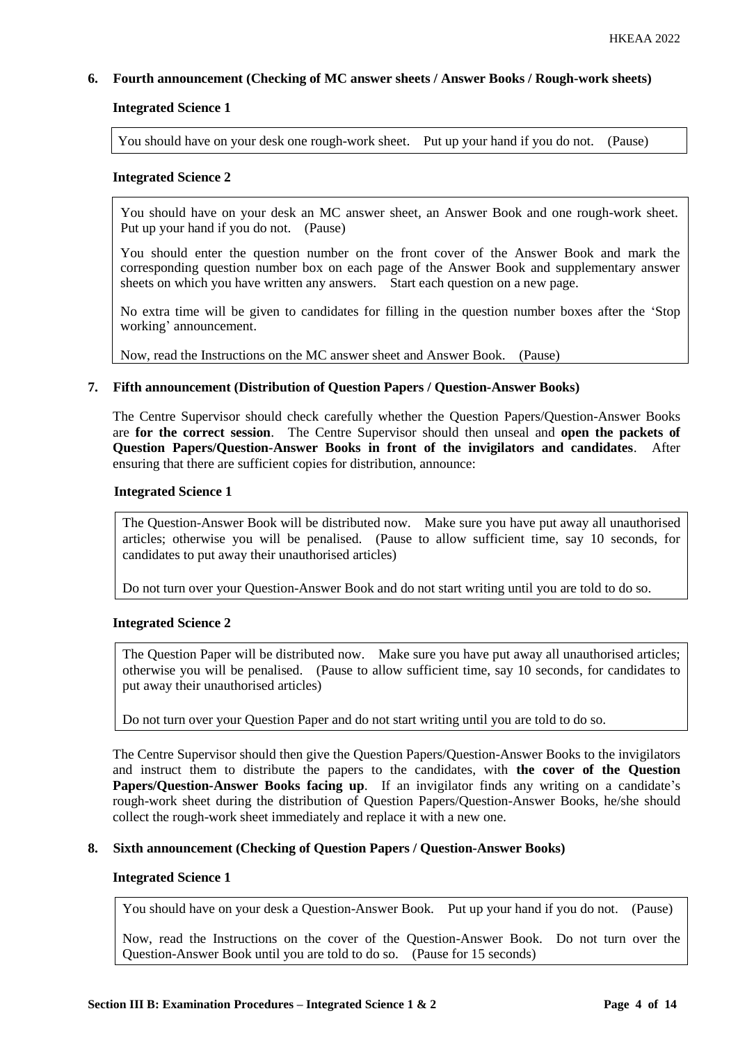# **6. Fourth announcement (Checking of MC answer sheets / Answer Books / Rough-work sheets)**

# **Integrated Science 1**

You should have on your desk one rough-work sheet. Put up your hand if you do not. (Pause)

## **Integrated Science 2**

You should have on your desk an MC answer sheet, an Answer Book and one rough-work sheet. Put up your hand if you do not. (Pause)

You should enter the question number on the front cover of the Answer Book and mark the corresponding question number box on each page of the Answer Book and supplementary answer sheets on which you have written any answers. Start each question on a new page.

No extra time will be given to candidates for filling in the question number boxes after the 'Stop working' announcement.

Now, read the Instructions on the MC answer sheet and Answer Book. (Pause)

# **7. Fifth announcement (Distribution of Question Papers / Question-Answer Books)**

The Centre Supervisor should check carefully whether the Question Papers/Question-Answer Books are **for the correct session**. The Centre Supervisor should then unseal and **open the packets of Question Papers/Question-Answer Books in front of the invigilators and candidates**. After ensuring that there are sufficient copies for distribution, announce:

#### **Integrated Science 1**

The Question-Answer Book will be distributed now. Make sure you have put away all unauthorised articles; otherwise you will be penalised. (Pause to allow sufficient time, say 10 seconds, for candidates to put away their unauthorised articles)

Do not turn over your Question-Answer Book and do not start writing until you are told to do so.

# **Integrated Science 2**

The Question Paper will be distributed now. Make sure you have put away all unauthorised articles; otherwise you will be penalised. (Pause to allow sufficient time, say 10 seconds, for candidates to put away their unauthorised articles)

#### Do not turn over your Question Paper and do not start writing until you are told to do so.

The Centre Supervisor should then give the Question Papers/Question-Answer Books to the invigilators and instruct them to distribute the papers to the candidates, with **the cover of the Question Papers/Question-Answer Books facing up**. If an invigilator finds any writing on a candidate's rough-work sheet during the distribution of Question Papers/Question-Answer Books, he/she should collect the rough-work sheet immediately and replace it with a new one.

#### **8. Sixth announcement (Checking of Question Papers / Question-Answer Books)**

## **Integrated Science 1**

You should have on your desk a Question-Answer Book. Put up your hand if you do not. (Pause)

Now, read the Instructions on the cover of the Question-Answer Book. Do not turn over the Question-Answer Book until you are told to do so. (Pause for 15 seconds)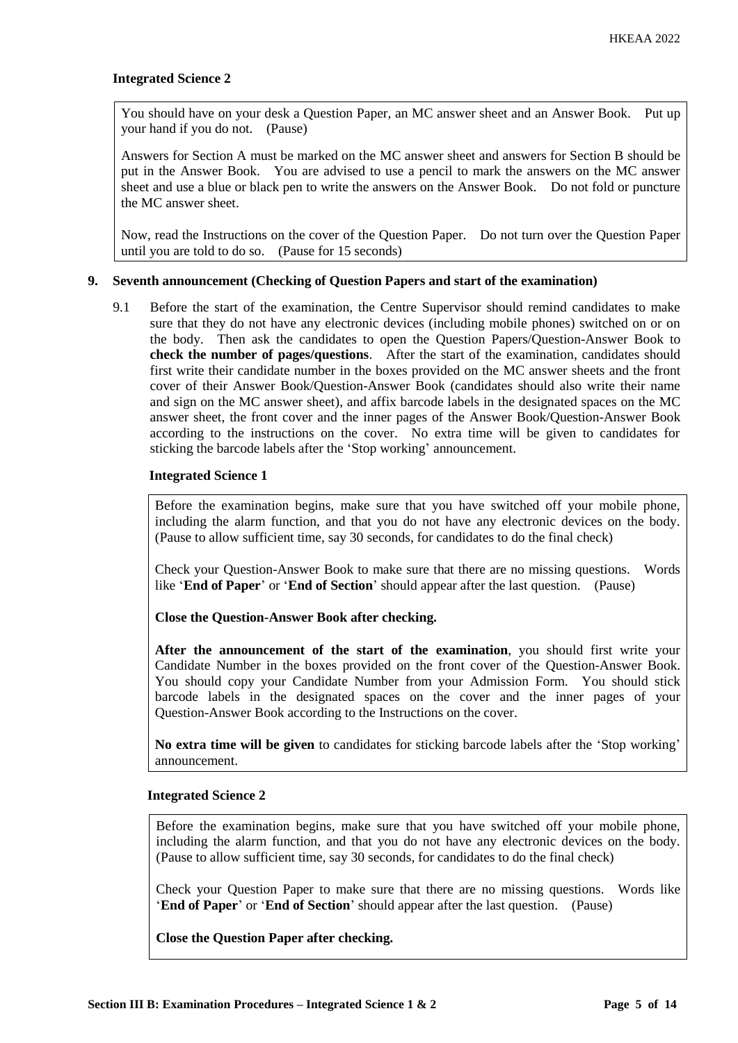# **Integrated Science 2**

You should have on your desk a Question Paper, an MC answer sheet and an Answer Book. Put up your hand if you do not. (Pause)

Answers for Section A must be marked on the MC answer sheet and answers for Section B should be put in the Answer Book. You are advised to use a pencil to mark the answers on the MC answer sheet and use a blue or black pen to write the answers on the Answer Book. Do not fold or puncture the MC answer sheet.

Now, read the Instructions on the cover of the Question Paper. Do not turn over the Question Paper until you are told to do so. (Pause for 15 seconds)

#### **9. Seventh announcement (Checking of Question Papers and start of the examination)**

9.1 Before the start of the examination, the Centre Supervisor should remind candidates to make sure that they do not have any electronic devices (including mobile phones) switched on or on the body. Then ask the candidates to open the Question Papers/Question-Answer Book to **check the number of pages/questions**. After the start of the examination, candidates should first write their candidate number in the boxes provided on the MC answer sheets and the front cover of their Answer Book/Question-Answer Book (candidates should also write their name and sign on the MC answer sheet), and affix barcode labels in the designated spaces on the MC answer sheet, the front cover and the inner pages of the Answer Book/Question-Answer Book according to the instructions on the cover. No extra time will be given to candidates for sticking the barcode labels after the 'Stop working' announcement.

# **Integrated Science 1**

Before the examination begins, make sure that you have switched off your mobile phone, including the alarm function, and that you do not have any electronic devices on the body. (Pause to allow sufficient time, say 30 seconds, for candidates to do the final check)

Check your Question-Answer Book to make sure that there are no missing questions. Words like '**End of Paper**' or '**End of Section**' should appear after the last question. (Pause)

**Close the Question-Answer Book after checking.**

**After the announcement of the start of the examination**, you should first write your Candidate Number in the boxes provided on the front cover of the Question-Answer Book. You should copy your Candidate Number from your Admission Form. You should stick barcode labels in the designated spaces on the cover and the inner pages of your Question-Answer Book according to the Instructions on the cover.

**No extra time will be given** to candidates for sticking barcode labels after the 'Stop working' announcement.

#### **Integrated Science 2**

Before the examination begins, make sure that you have switched off your mobile phone, including the alarm function, and that you do not have any electronic devices on the body. (Pause to allow sufficient time, say 30 seconds, for candidates to do the final check)

Check your Question Paper to make sure that there are no missing questions. Words like '**End of Paper**' or '**End of Section**' should appear after the last question. (Pause)

**Close the Question Paper after checking.**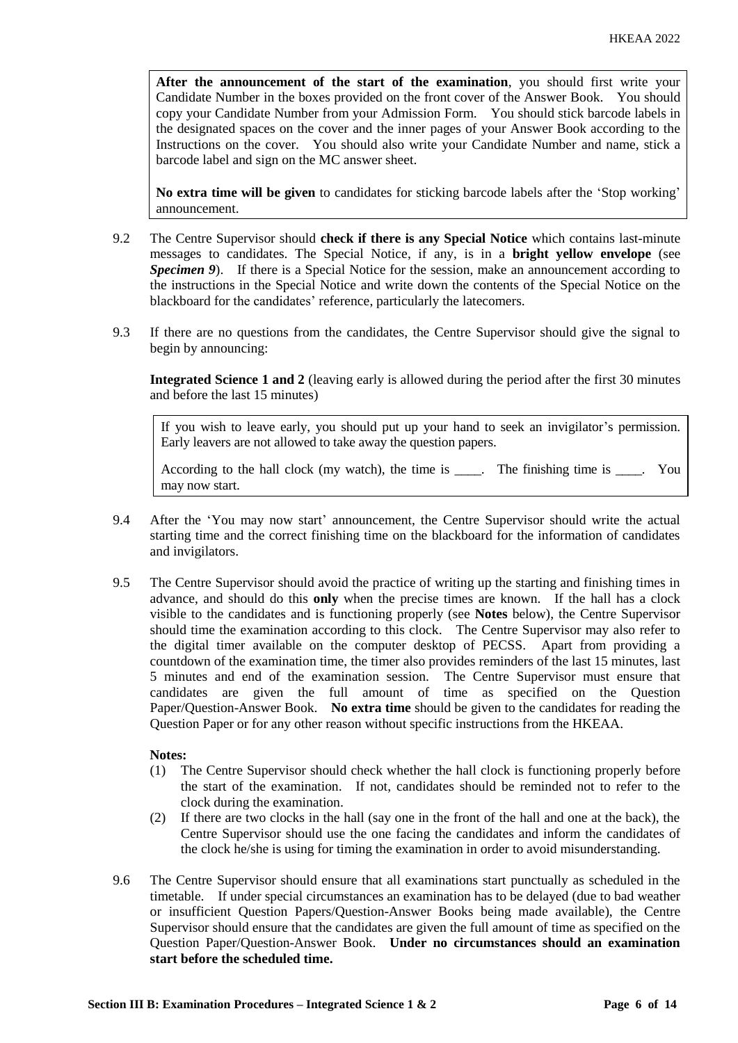**After the announcement of the start of the examination**, you should first write your Candidate Number in the boxes provided on the front cover of the Answer Book. You should copy your Candidate Number from your Admission Form. You should stick barcode labels in the designated spaces on the cover and the inner pages of your Answer Book according to the Instructions on the cover. You should also write your Candidate Number and name, stick a barcode label and sign on the MC answer sheet.

**No extra time will be given** to candidates for sticking barcode labels after the 'Stop working' announcement.

- 9.2 The Centre Supervisor should **check if there is any Special Notice** which contains last-minute messages to candidates. The Special Notice, if any, is in a **bright yellow envelope** (see *Specimen 9*). If there is a Special Notice for the session, make an announcement according to the instructions in the Special Notice and write down the contents of the Special Notice on the blackboard for the candidates' reference, particularly the latecomers.
- 9.3 If there are no questions from the candidates, the Centre Supervisor should give the signal to begin by announcing:

**Integrated Science 1 and 2** (leaving early is allowed during the period after the first 30 minutes and before the last 15 minutes)

If you wish to leave early, you should put up your hand to seek an invigilator's permission. Early leavers are not allowed to take away the question papers.

According to the hall clock (my watch), the time is  $\blacksquare$ . The finishing time is  $\blacksquare$ . You may now start.

- 9.4 After the 'You may now start' announcement, the Centre Supervisor should write the actual starting time and the correct finishing time on the blackboard for the information of candidates and invigilators.
- 9.5 The Centre Supervisor should avoid the practice of writing up the starting and finishing times in advance, and should do this **only** when the precise times are known. If the hall has a clock visible to the candidates and is functioning properly (see **Notes** below), the Centre Supervisor should time the examination according to this clock. The Centre Supervisor may also refer to the digital timer available on the computer desktop of PECSS. Apart from providing a countdown of the examination time, the timer also provides reminders of the last 15 minutes, last 5 minutes and end of the examination session. The Centre Supervisor must ensure that candidates are given the full amount of time as specified on the Question Paper/Question-Answer Book. **No extra time** should be given to the candidates for reading the Question Paper or for any other reason without specific instructions from the HKEAA.

# **Notes:**

- (1) The Centre Supervisor should check whether the hall clock is functioning properly before the start of the examination. If not, candidates should be reminded not to refer to the clock during the examination.
- (2) If there are two clocks in the hall (say one in the front of the hall and one at the back), the Centre Supervisor should use the one facing the candidates and inform the candidates of the clock he/she is using for timing the examination in order to avoid misunderstanding.
- 9.6 The Centre Supervisor should ensure that all examinations start punctually as scheduled in the timetable. If under special circumstances an examination has to be delayed (due to bad weather or insufficient Question Papers/Question-Answer Books being made available), the Centre Supervisor should ensure that the candidates are given the full amount of time as specified on the Question Paper/Question-Answer Book. **Under no circumstances should an examination start before the scheduled time.**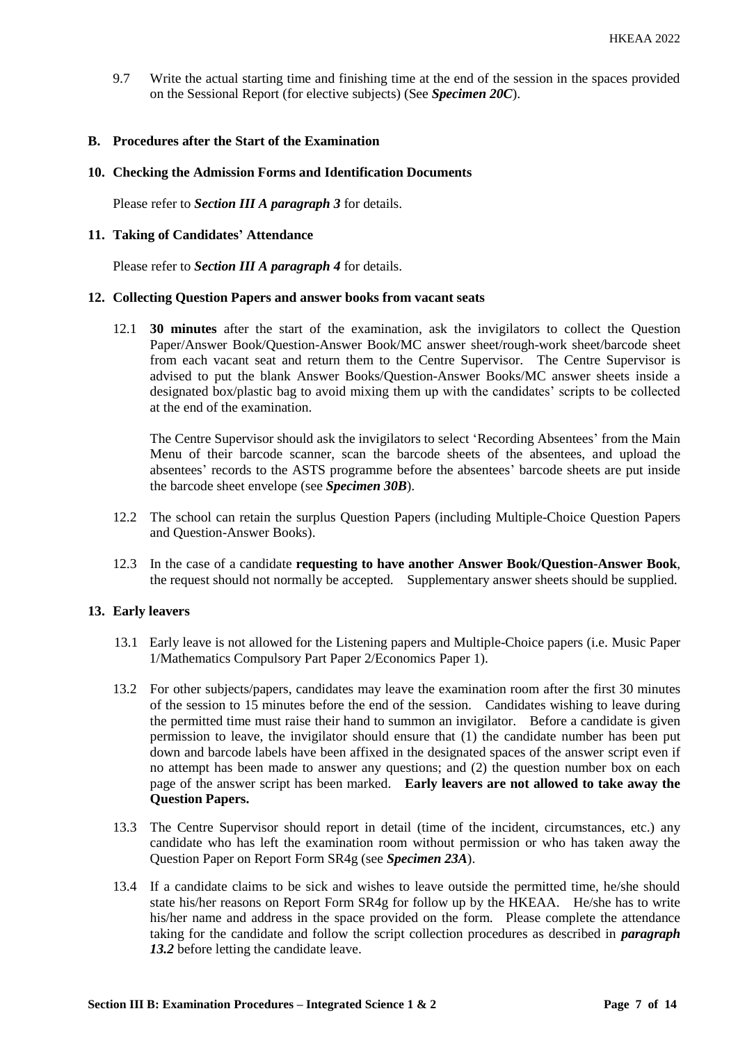9.7 Write the actual starting time and finishing time at the end of the session in the spaces provided on the Sessional Report (for elective subjects) (See *Specimen 20C*).

# **B. Procedures after the Start of the Examination**

# **10. Checking the Admission Forms and Identification Documents**

Please refer to *Section III A paragraph 3* for details.

## **11. Taking of Candidates' Attendance**

Please refer to *Section III A paragraph 4* for details.

#### **12. Collecting Question Papers and answer books from vacant seats**

12.1 **30 minutes** after the start of the examination, ask the invigilators to collect the Question Paper/Answer Book/Question-Answer Book/MC answer sheet/rough-work sheet/barcode sheet from each vacant seat and return them to the Centre Supervisor. The Centre Supervisor is advised to put the blank Answer Books/Question-Answer Books/MC answer sheets inside a designated box/plastic bag to avoid mixing them up with the candidates' scripts to be collected at the end of the examination.

The Centre Supervisor should ask the invigilators to select 'Recording Absentees' from the Main Menu of their barcode scanner, scan the barcode sheets of the absentees, and upload the absentees' records to the ASTS programme before the absentees' barcode sheets are put inside the barcode sheet envelope (see *Specimen 30B*).

- 12.2 The school can retain the surplus Question Papers (including Multiple-Choice Question Papers and Question-Answer Books).
- 12.3 In the case of a candidate **requesting to have another Answer Book/Question-Answer Book**, the request should not normally be accepted. Supplementary answer sheets should be supplied.

# **13. Early leavers**

- 13.1 Early leave is not allowed for the Listening papers and Multiple-Choice papers (i.e. Music Paper 1/Mathematics Compulsory Part Paper 2/Economics Paper 1).
- 13.2 For other subjects/papers, candidates may leave the examination room after the first 30 minutes of the session to 15 minutes before the end of the session. Candidates wishing to leave during the permitted time must raise their hand to summon an invigilator. Before a candidate is given permission to leave, the invigilator should ensure that (1) the candidate number has been put down and barcode labels have been affixed in the designated spaces of the answer script even if no attempt has been made to answer any questions; and (2) the question number box on each page of the answer script has been marked. **Early leavers are not allowed to take away the Question Papers.**
- 13.3 The Centre Supervisor should report in detail (time of the incident, circumstances, etc.) any candidate who has left the examination room without permission or who has taken away the Question Paper on Report Form SR4g (see *Specimen 23A*).
- 13.4 If a candidate claims to be sick and wishes to leave outside the permitted time, he/she should state his/her reasons on Report Form SR4g for follow up by the HKEAA. He/she has to write his/her name and address in the space provided on the form. Please complete the attendance taking for the candidate and follow the script collection procedures as described in *paragraph 13.2* before letting the candidate leave.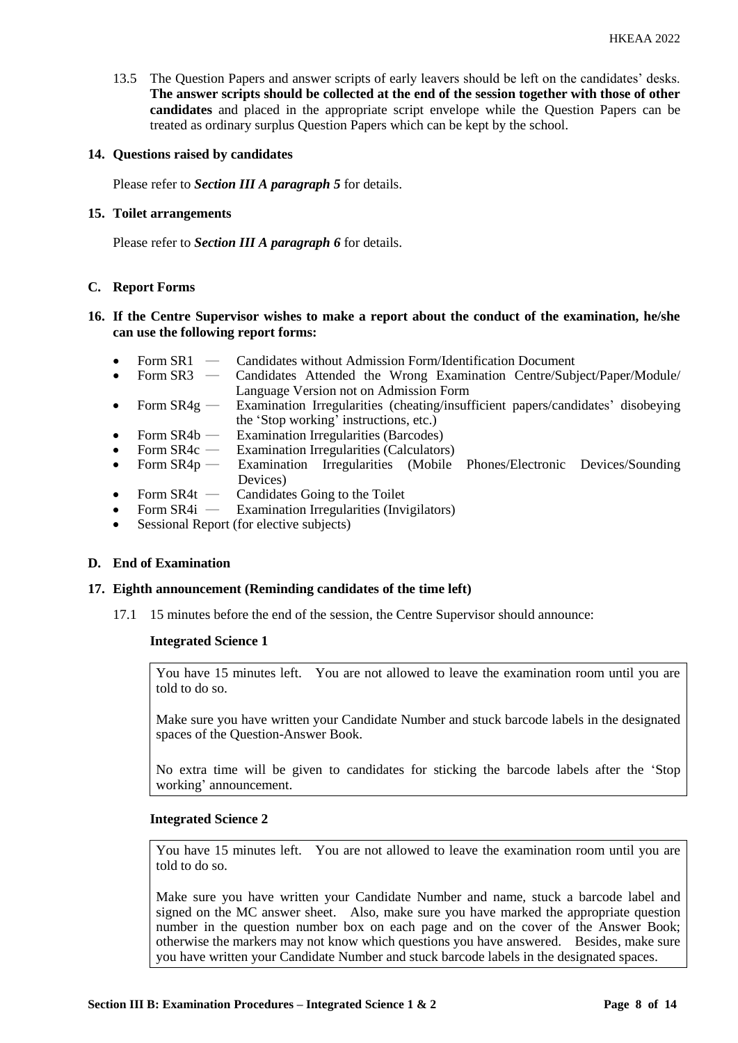13.5 The Question Papers and answer scripts of early leavers should be left on the candidates' desks. **The answer scripts should be collected at the end of the session together with those of other candidates** and placed in the appropriate script envelope while the Question Papers can be treated as ordinary surplus Question Papers which can be kept by the school.

## **14. Questions raised by candidates**

Please refer to *Section III A paragraph 5* for details.

## **15. Toilet arrangements**

Please refer to *Section III A paragraph 6* for details.

# **C. Report Forms**

# **16. If the Centre Supervisor wishes to make a report about the conduct of the examination, he/she can use the following report forms:**

- Form SR1 Candidates without Admission Form/Identification Document<br>• Form SR3 Candidates Attended the Wrong Examination Centre/Subi
- Candidates Attended the Wrong Examination Centre/Subject/Paper/Module/ Language Version not on Admission Form
- Form SR4g Examination Irregularities (cheating/insufficient papers/candidates' disobeying the 'Stop working' instructions, etc.)
- Form  $SR4b$  Examination Irregularities (Barcodes)
- Form SR4c Examination Irregularities (Calculators)<br>Form SR4p Examination Irregularities (Mobile
- Form SR4p Examination Irregularities (Mobile Phones/Electronic Devices/Sounding Devices)
- Form  $SR4t$  Candidates Going to the Toilet<br>• Form  $SR4i$  Examination Irregularities (Invi
- **Examination Irregularities (Invigilators)**
- Sessional Report (for elective subjects)

#### **D. End of Examination**

## **17. Eighth announcement (Reminding candidates of the time left)**

17.1 15 minutes before the end of the session, the Centre Supervisor should announce:

#### **Integrated Science 1**

You have 15 minutes left. You are not allowed to leave the examination room until you are told to do so.

Make sure you have written your Candidate Number and stuck barcode labels in the designated spaces of the Question-Answer Book.

No extra time will be given to candidates for sticking the barcode labels after the 'Stop working' announcement.

#### **Integrated Science 2**

You have 15 minutes left. You are not allowed to leave the examination room until you are told to do so.

Make sure you have written your Candidate Number and name, stuck a barcode label and signed on the MC answer sheet. Also, make sure you have marked the appropriate question number in the question number box on each page and on the cover of the Answer Book; otherwise the markers may not know which questions you have answered. Besides, make sure you have written your Candidate Number and stuck barcode labels in the designated spaces.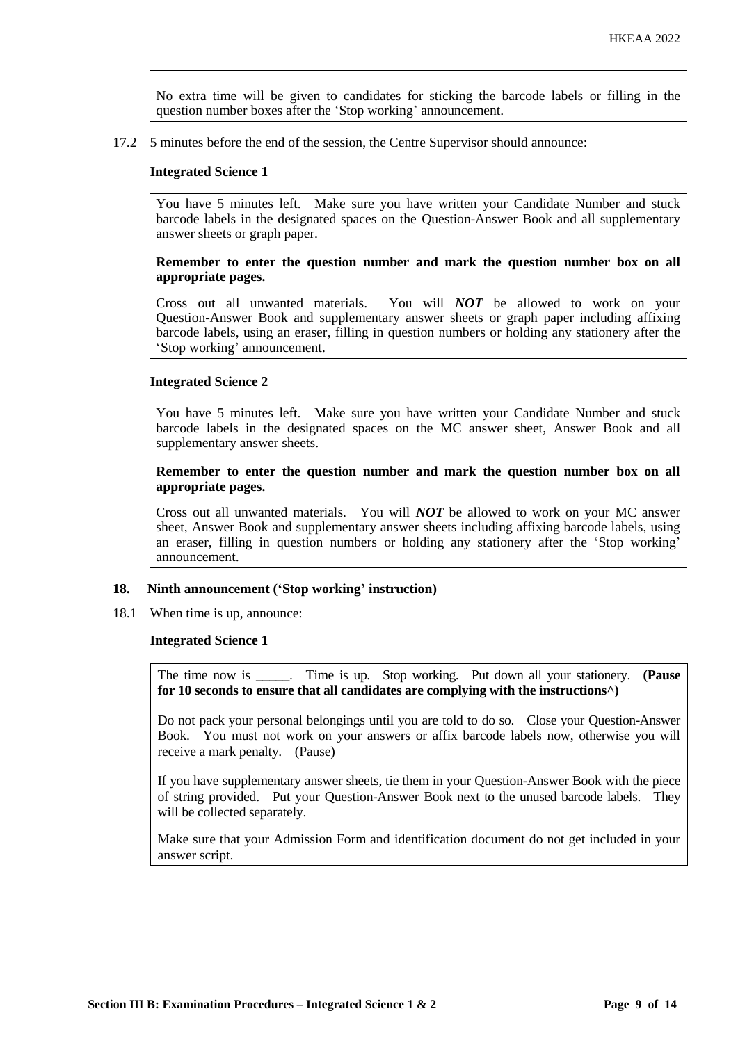No extra time will be given to candidates for sticking the barcode labels or filling in the question number boxes after the 'Stop working' announcement.

17.2 5 minutes before the end of the session, the Centre Supervisor should announce:

#### **Integrated Science 1**

You have 5 minutes left. Make sure you have written your Candidate Number and stuck barcode labels in the designated spaces on the Question-Answer Book and all supplementary answer sheets or graph paper.

## **Remember to enter the question number and mark the question number box on all appropriate pages.**

Cross out all unwanted materials. You will *NOT* be allowed to work on your Question-Answer Book and supplementary answer sheets or graph paper including affixing barcode labels, using an eraser, filling in question numbers or holding any stationery after the 'Stop working' announcement.

#### **Integrated Science 2**

You have 5 minutes left. Make sure you have written your Candidate Number and stuck barcode labels in the designated spaces on the MC answer sheet, Answer Book and all supplementary answer sheets.

**Remember to enter the question number and mark the question number box on all appropriate pages.** 

Cross out all unwanted materials. You will *NOT* be allowed to work on your MC answer sheet, Answer Book and supplementary answer sheets including affixing barcode labels, using an eraser, filling in question numbers or holding any stationery after the 'Stop working' announcement.

# **18. Ninth announcement ('Stop working' instruction)**

18.1 When time is up, announce:

#### **Integrated Science 1**

The time now is \_\_\_\_\_. Time is up. Stop working. Put down all your stationery. **(Pause for 10 seconds to ensure that all candidates are complying with the instructions^)**

Do not pack your personal belongings until you are told to do so. Close your Question-Answer Book. You must not work on your answers or affix barcode labels now, otherwise you will receive a mark penalty. (Pause)

If you have supplementary answer sheets, tie them in your Question-Answer Book with the piece of string provided. Put your Question-Answer Book next to the unused barcode labels. They will be collected separately.

Make sure that your Admission Form and identification document do not get included in your answer script.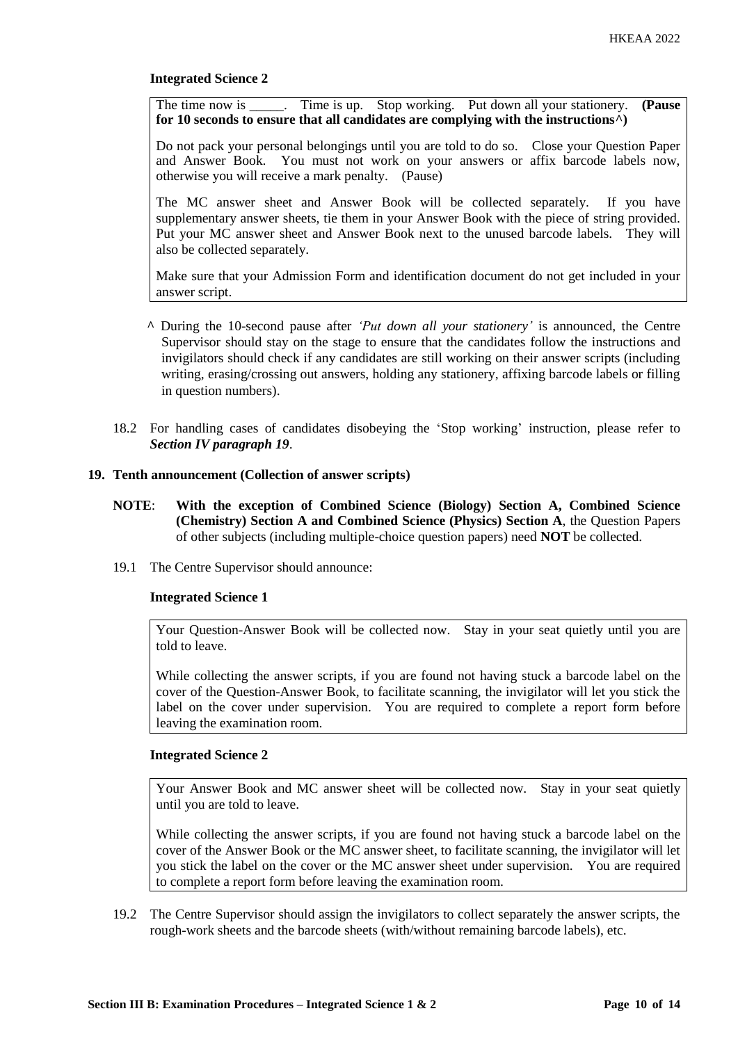# **Integrated Science 2**

The time now is \_\_\_\_\_. Time is up. Stop working. Put down all your stationery. **(Pause for 10 seconds to ensure that all candidates are complying with the instructions^)**

Do not pack your personal belongings until you are told to do so. Close your Question Paper and Answer Book. You must not work on your answers or affix barcode labels now, otherwise you will receive a mark penalty. (Pause)

The MC answer sheet and Answer Book will be collected separately. If you have supplementary answer sheets, tie them in your Answer Book with the piece of string provided. Put your MC answer sheet and Answer Book next to the unused barcode labels. They will also be collected separately.

Make sure that your Admission Form and identification document do not get included in your answer script.

- **^** During the 10-second pause after *'Put down all your stationery'* is announced, the Centre Supervisor should stay on the stage to ensure that the candidates follow the instructions and invigilators should check if any candidates are still working on their answer scripts (including writing, erasing/crossing out answers, holding any stationery, affixing barcode labels or filling in question numbers).
- 18.2 For handling cases of candidates disobeying the 'Stop working' instruction, please refer to *Section IV paragraph 19*.

#### **19. Tenth announcement (Collection of answer scripts)**

- **NOTE**: **With the exception of Combined Science (Biology) Section A, Combined Science (Chemistry) Section A and Combined Science (Physics) Section A**, the Question Papers of other subjects (including multiple-choice question papers) need **NOT** be collected.
- 19.1 The Centre Supervisor should announce:

#### **Integrated Science 1**

Your Question-Answer Book will be collected now. Stay in your seat quietly until you are told to leave.

While collecting the answer scripts, if you are found not having stuck a barcode label on the cover of the Question-Answer Book, to facilitate scanning, the invigilator will let you stick the label on the cover under supervision. You are required to complete a report form before leaving the examination room.

# **Integrated Science 2**

Your Answer Book and MC answer sheet will be collected now. Stay in your seat quietly until you are told to leave.

While collecting the answer scripts, if you are found not having stuck a barcode label on the cover of the Answer Book or the MC answer sheet, to facilitate scanning, the invigilator will let you stick the label on the cover or the MC answer sheet under supervision. You are required to complete a report form before leaving the examination room.

19.2 The Centre Supervisor should assign the invigilators to collect separately the answer scripts, the rough-work sheets and the barcode sheets (with/without remaining barcode labels), etc.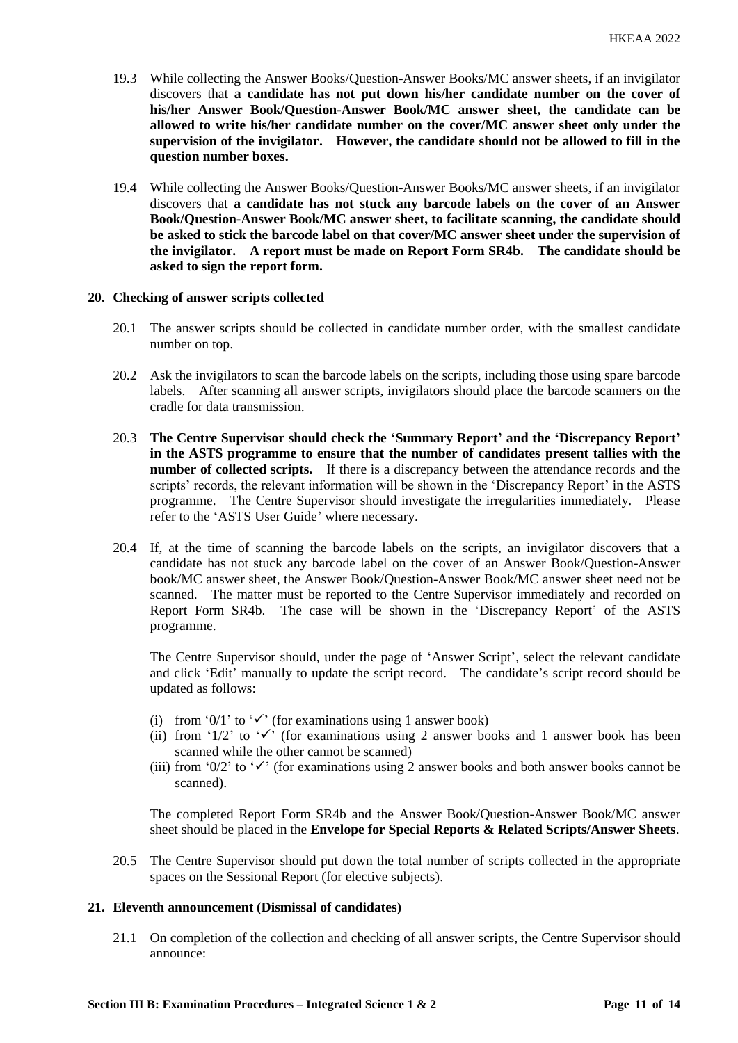- 19.3 While collecting the Answer Books/Question-Answer Books/MC answer sheets, if an invigilator discovers that **a candidate has not put down his/her candidate number on the cover of his/her Answer Book/Question-Answer Book/MC answer sheet, the candidate can be allowed to write his/her candidate number on the cover/MC answer sheet only under the supervision of the invigilator. However, the candidate should not be allowed to fill in the question number boxes.**
- 19.4 While collecting the Answer Books/Question-Answer Books/MC answer sheets, if an invigilator discovers that **a candidate has not stuck any barcode labels on the cover of an Answer Book/Question-Answer Book/MC answer sheet, to facilitate scanning, the candidate should be asked to stick the barcode label on that cover/MC answer sheet under the supervision of the invigilator. A report must be made on Report Form SR4b. The candidate should be asked to sign the report form.**

#### **20. Checking of answer scripts collected**

- 20.1 The answer scripts should be collected in candidate number order, with the smallest candidate number on top.
- 20.2 Ask the invigilators to scan the barcode labels on the scripts, including those using spare barcode labels. After scanning all answer scripts, invigilators should place the barcode scanners on the cradle for data transmission.
- 20.3 **The Centre Supervisor should check the 'Summary Report' and the 'Discrepancy Report' in the ASTS programme to ensure that the number of candidates present tallies with the number of collected scripts.** If there is a discrepancy between the attendance records and the scripts' records, the relevant information will be shown in the 'Discrepancy Report' in the ASTS programme. The Centre Supervisor should investigate the irregularities immediately. Please refer to the 'ASTS User Guide' where necessary.
- 20.4 If, at the time of scanning the barcode labels on the scripts, an invigilator discovers that a candidate has not stuck any barcode label on the cover of an Answer Book/Question-Answer book/MC answer sheet, the Answer Book/Question-Answer Book/MC answer sheet need not be scanned. The matter must be reported to the Centre Supervisor immediately and recorded on Report Form SR4b. The case will be shown in the 'Discrepancy Report' of the ASTS programme.

The Centre Supervisor should, under the page of 'Answer Script', select the relevant candidate and click 'Edit' manually to update the script record. The candidate's script record should be updated as follows:

- (i) from '0/1' to ' $\checkmark$ ' (for examinations using 1 answer book)
- (ii) from '1/2' to ' $\checkmark$ ' (for examinations using 2 answer books and 1 answer book has been scanned while the other cannot be scanned)
- (iii) from '0/2' to ' $\checkmark$ ' (for examinations using 2 answer books and both answer books cannot be scanned).

The completed Report Form SR4b and the Answer Book/Question-Answer Book/MC answer sheet should be placed in the **Envelope for Special Reports & Related Scripts/Answer Sheets**.

20.5 The Centre Supervisor should put down the total number of scripts collected in the appropriate spaces on the Sessional Report (for elective subjects).

# **21. Eleventh announcement (Dismissal of candidates)**

21.1 On completion of the collection and checking of all answer scripts, the Centre Supervisor should announce: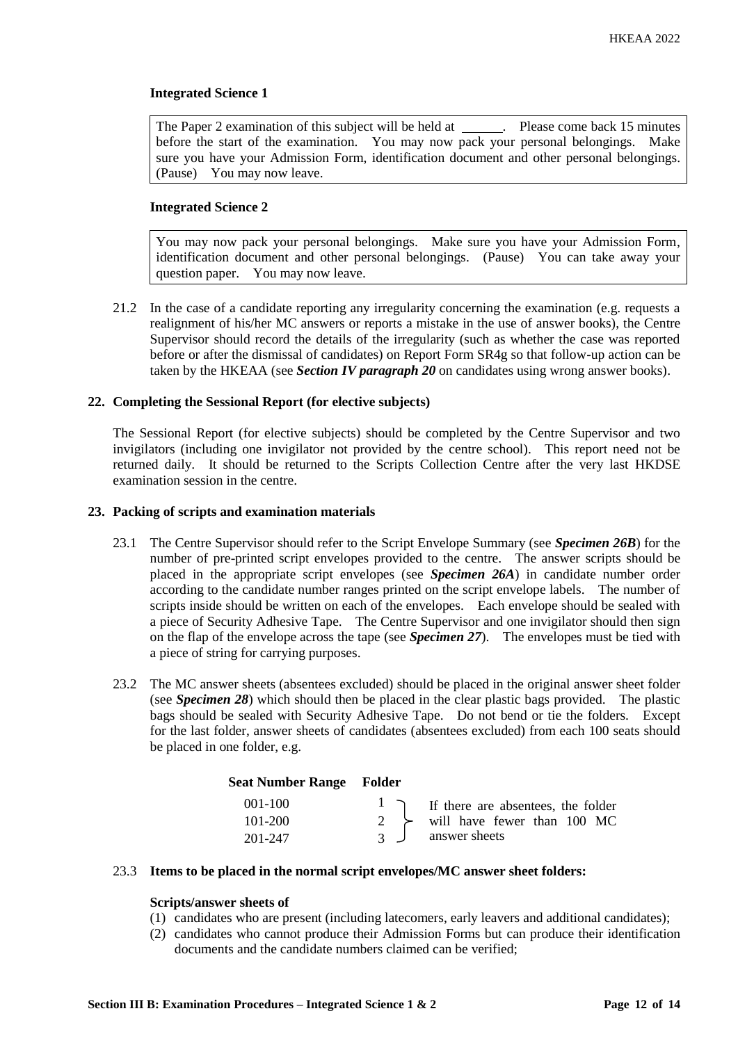# **Integrated Science 1**

The Paper 2 examination of this subject will be held at \_\_\_\_\_\_. Please come back 15 minutes before the start of the examination. You may now pack your personal belongings. Make sure you have your Admission Form, identification document and other personal belongings. (Pause) You may now leave.

## **Integrated Science 2**

You may now pack your personal belongings. Make sure you have your Admission Form, identification document and other personal belongings. (Pause) You can take away your question paper. You may now leave.

21.2 In the case of a candidate reporting any irregularity concerning the examination (e.g. requests a realignment of his/her MC answers or reports a mistake in the use of answer books), the Centre Supervisor should record the details of the irregularity (such as whether the case was reported before or after the dismissal of candidates) on Report Form SR4g so that follow-up action can be taken by the HKEAA (see *Section IV paragraph 20* on candidates using wrong answer books).

#### **22. Completing the Sessional Report (for elective subjects)**

The Sessional Report (for elective subjects) should be completed by the Centre Supervisor and two invigilators (including one invigilator not provided by the centre school). This report need not be returned daily. It should be returned to the Scripts Collection Centre after the very last HKDSE examination session in the centre.

## **23. Packing of scripts and examination materials**

- 23.1 The Centre Supervisor should refer to the Script Envelope Summary (see *Specimen 26B*) for the number of pre-printed script envelopes provided to the centre. The answer scripts should be placed in the appropriate script envelopes (see *Specimen 26A*) in candidate number order according to the candidate number ranges printed on the script envelope labels. The number of scripts inside should be written on each of the envelopes. Each envelope should be sealed with a piece of Security Adhesive Tape. The Centre Supervisor and one invigilator should then sign on the flap of the envelope across the tape (see *Specimen 27*). The envelopes must be tied with a piece of string for carrying purposes.
- 23.2 The MC answer sheets (absentees excluded) should be placed in the original answer sheet folder (see *Specimen 28*) which should then be placed in the clear plastic bags provided. The plastic bags should be sealed with Security Adhesive Tape. Do not bend or tie the folders. Except for the last folder, answer sheets of candidates (absentees excluded) from each 100 seats should be placed in one folder, e.g.

| <b>Seat Number Range Folder</b> |                |                                                                           |
|---------------------------------|----------------|---------------------------------------------------------------------------|
| $001 - 100$                     |                | $\begin{bmatrix} 1 \\ 7 \end{bmatrix}$ If there are absentees, the folder |
| 101-200                         |                | 2 $\rightarrow$ will have fewer than 100 MC                               |
| 201-247                         | $\overline{3}$ | answer sheets                                                             |

#### 23.3 **Items to be placed in the normal script envelopes/MC answer sheet folders:**

# **Scripts/answer sheets of**

- (1) candidates who are present (including latecomers, early leavers and additional candidates);
- (2) candidates who cannot produce their Admission Forms but can produce their identification documents and the candidate numbers claimed can be verified;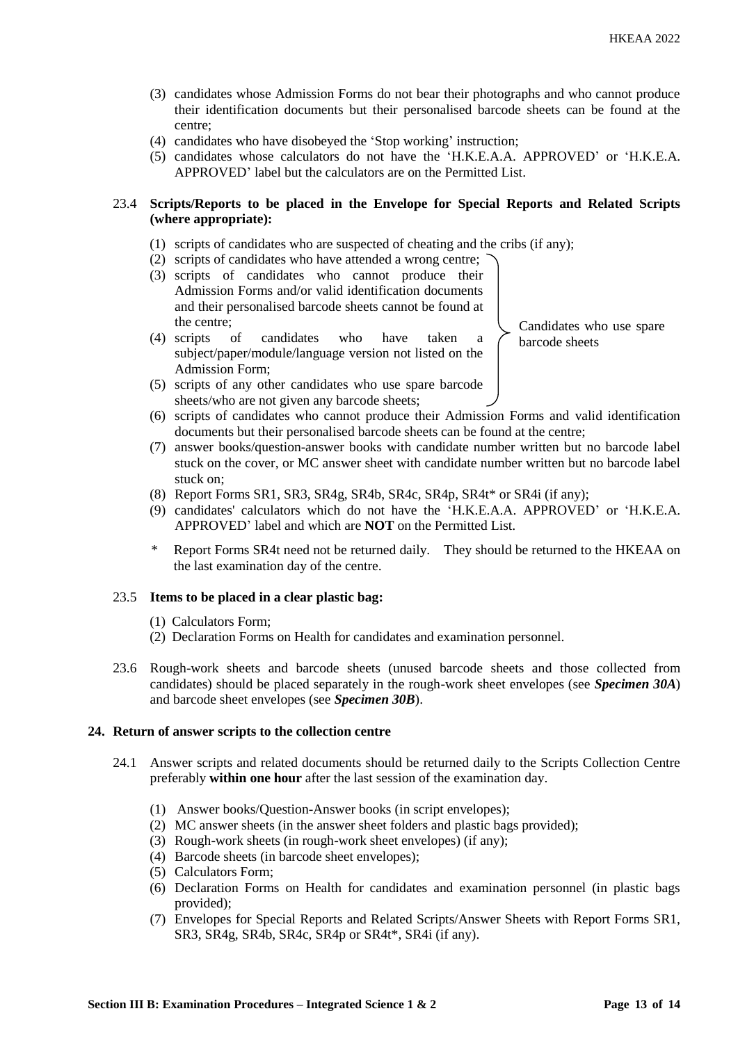- (3) candidates whose Admission Forms do not bear their photographs and who cannot produce their identification documents but their personalised barcode sheets can be found at the centre;
- (4) candidates who have disobeyed the 'Stop working' instruction;
- (5) candidates whose calculators do not have the 'H.K.E.A.A. APPROVED' or 'H.K.E.A. APPROVED' label but the calculators are on the Permitted List.

# 23.4 **Scripts/Reports to be placed in the Envelope for Special Reports and Related Scripts (where appropriate):**

- (1) scripts of candidates who are suspected of cheating and the cribs (if any);
- (2) scripts of candidates who have attended a wrong centre;
- (3) scripts of candidates who cannot produce their Admission Forms and/or valid identification documents and their personalised barcode sheets cannot be found at the centre;
- (4) scripts of candidates who have taken a subject/paper/module/language version not listed on the Admission Form;

Candidates who use spare barcode sheets

- (5) scripts of any other candidates who use spare barcode sheets/who are not given any barcode sheets;
- (6) scripts of candidates who cannot produce their Admission Forms and valid identification documents but their personalised barcode sheets can be found at the centre;
- (7) answer books/question-answer books with candidate number written but no barcode label stuck on the cover, or MC answer sheet with candidate number written but no barcode label stuck on;
- (8) Report Forms SR1, SR3, SR4g, SR4b, SR4c, SR4p, SR4t\* or SR4i (if any);
- (9) candidates' calculators which do not have the 'H.K.E.A.A. APPROVED' or 'H.K.E.A. APPROVED' label and which are **NOT** on the Permitted List.
- \* Report Forms SR4t need not be returned daily. They should be returned to the HKEAA on the last examination day of the centre.

#### 23.5 **Items to be placed in a clear plastic bag:**

- (1) Calculators Form;
- (2) Declaration Forms on Health for candidates and examination personnel.
- 23.6 Rough-work sheets and barcode sheets (unused barcode sheets and those collected from candidates) should be placed separately in the rough-work sheet envelopes (see *Specimen 30A*) and barcode sheet envelopes (see *Specimen 30B*).

# **24. Return of answer scripts to the collection centre**

- 24.1 Answer scripts and related documents should be returned daily to the Scripts Collection Centre preferably **within one hour** after the last session of the examination day.
	- (1) Answer books/Question-Answer books (in script envelopes);
	- (2) MC answer sheets (in the answer sheet folders and plastic bags provided);
	- (3) Rough-work sheets (in rough-work sheet envelopes) (if any);
	- (4) Barcode sheets (in barcode sheet envelopes);
	- (5) Calculators Form;
	- (6) Declaration Forms on Health for candidates and examination personnel (in plastic bags provided);
	- (7) Envelopes for Special Reports and Related Scripts/Answer Sheets with Report Forms SR1, SR3, SR4g, SR4b, SR4c, SR4p or SR4t\*, SR4i (if any).